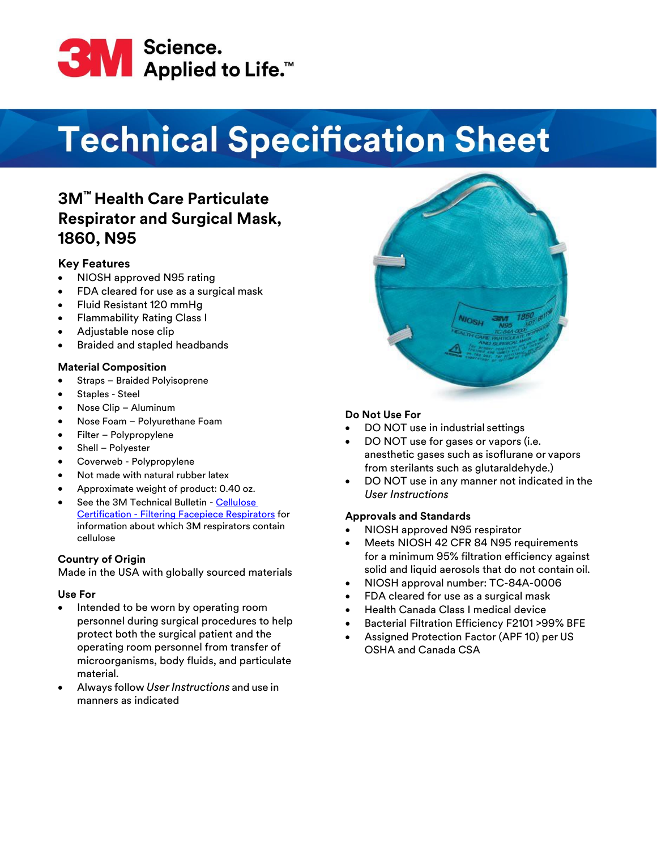

# **Technical Specification Sheet**

## **3M™ Health Care Particulate Respirator and Surgical Mask, 1860, N95**

#### **Key Features**

- NIOSH approved N95 rating
- FDA cleared for use as a surgical mask
- Fluid Resistant 120 mmHg
- Flammability Rating Class I
- Adjustable nose clip
- Braided and stapled headbands

#### **Material Composition**

- Straps Braided Polyisoprene
- Staples Steel
- Nose Clip Aluminum
- Nose Foam Polyurethane Foam
- Filter Polypropylene
- Shell Polyester
- Coverweb Polypropylene
- Not made with natural rubber latex
- Approximate weight of product: 0.40 oz.
- See the 3M Technical Bulletin [Cellulose](https://multimedia.3m.com/mws/media/1824613O/cellulose-certification-filtering-facepiece-respirators.pdf) Certification - [Filtering Facepiece Respirators](https://multimedia.3m.com/mws/media/1824613O/cellulose-certification-filtering-facepiece-respirators.pdf) for information about which 3M respirators contain cellulose

#### **Country of Origin**

Made in the USA with globally sourced materials

#### **Use For**

- Intended to be worn by operating room personnel during surgical procedures to help protect both the surgical patient and the operating room personnel from transfer of microorganisms, body fluids, and particulate material.
- Always follow *UserInstructions* and use in manners as indicated



#### **Do Not Use For**

- DO NOT use in industrial settings
- DO NOT use for gases or vapors (i.e. anesthetic gases such as isoflurane or vapors from sterilants such as glutaraldehyde.)
- DO NOT use in any manner not indicated in the *User Instructions*

#### **Approvals and Standards**

- NIOSH approved N95 respirator
- Meets NIOSH 42 CFR 84 N95 requirements for a minimum 95% filtration efficiency against solid and liquid aerosols that do not contain oil.
- NIOSH approval number: TC-84A-0006
- FDA cleared for use as a surgical mask
- Health Canada Class I medical device
- Bacterial Filtration Efficiency F2101 >99% BFE
- Assigned Protection Factor (APF 10) per US OSHA and Canada CSA